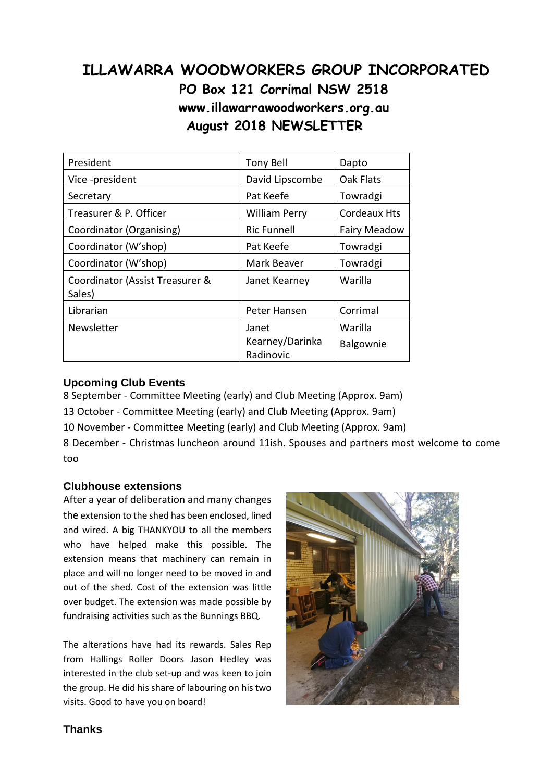# **ILLAWARRA WOODWORKERS GROUP INCORPORATED PO Box 121 Corrimal NSW 2518 www.illawarrawoodworkers.org.au August 2018 NEWSLETTER**

| President                                 | <b>Tony Bell</b>                      | Dapto                |
|-------------------------------------------|---------------------------------------|----------------------|
| Vice -president                           | David Lipscombe                       | Oak Flats            |
| Secretary                                 | Pat Keefe                             | Towradgi             |
| Treasurer & P. Officer                    | <b>William Perry</b>                  | <b>Cordeaux Hts</b>  |
| Coordinator (Organising)                  | <b>Ric Funnell</b>                    | <b>Fairy Meadow</b>  |
| Coordinator (W'shop)                      | Pat Keefe                             | Towradgi             |
| Coordinator (W'shop)                      | Mark Beaver                           | Towradgi             |
| Coordinator (Assist Treasurer &<br>Sales) | Janet Kearney                         | Warilla              |
| Librarian                                 | Peter Hansen                          | Corrimal             |
| Newsletter                                | Janet<br>Kearney/Darinka<br>Radinovic | Warilla<br>Balgownie |

### **Upcoming Club Events**

8 September - Committee Meeting (early) and Club Meeting (Approx. 9am) 13 October - Committee Meeting (early) and Club Meeting (Approx. 9am) 10 November - Committee Meeting (early) and Club Meeting (Approx. 9am) 8 December - Christmas luncheon around 11ish. Spouses and partners most welcome to come too

#### **Clubhouse extensions**

After a year of deliberation and many changes the extension to the shed has been enclosed, lined and wired. A big THANKYOU to all the members who have helped make this possible. The extension means that machinery can remain in place and will no longer need to be moved in and out of the shed. Cost of the extension was little over budget. The extension was made possible by fundraising activities such as the Bunnings BBQ.

The alterations have had its rewards. Sales Rep from Hallings Roller Doors Jason Hedley was interested in the club set-up and was keen to join the group. He did his share of labouring on his two visits. Good to have you on board!



# **Thanks**